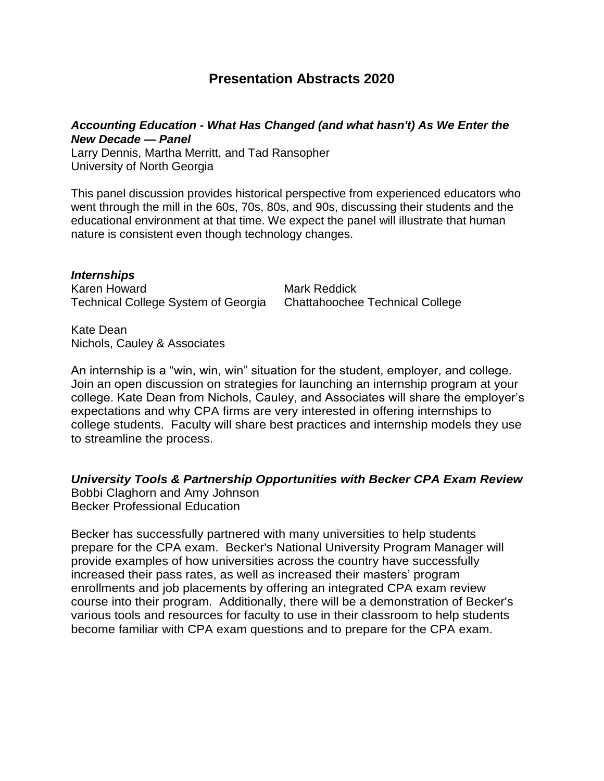# **Presentation Abstracts 2020**

### *Accounting Education - What Has Changed (and what hasn't) As We Enter the New Decade — Panel*

Larry Dennis, Martha Merritt, and Tad Ransopher University of North Georgia

This panel discussion provides historical perspective from experienced educators who went through the mill in the 60s, 70s, 80s, and 90s, discussing their students and the educational environment at that time. We expect the panel will illustrate that human nature is consistent even though technology changes.

*Internships* Karen Howard Mark Reddick Technical College System of Georgia Chattahoochee Technical College

Kate Dean Nichols, Cauley & Associates

An internship is a "win, win, win" situation for the student, employer, and college. Join an open discussion on strategies for launching an internship program at your college. Kate Dean from Nichols, Cauley, and Associates will share the employer's expectations and why CPA firms are very interested in offering internships to college students. Faculty will share best practices and internship models they use to streamline the process.

*University Tools & Partnership Opportunities with Becker CPA Exam Review* Bobbi Claghorn and Amy Johnson Becker Professional Education

Becker has successfully partnered with many universities to help students prepare for the CPA exam. Becker's National University Program Manager will provide examples of how universities across the country have successfully increased their pass rates, as well as increased their masters' program enrollments and job placements by offering an integrated CPA exam review course into their program. Additionally, there will be a demonstration of Becker's various tools and resources for faculty to use in their classroom to help students become familiar with CPA exam questions and to prepare for the CPA exam.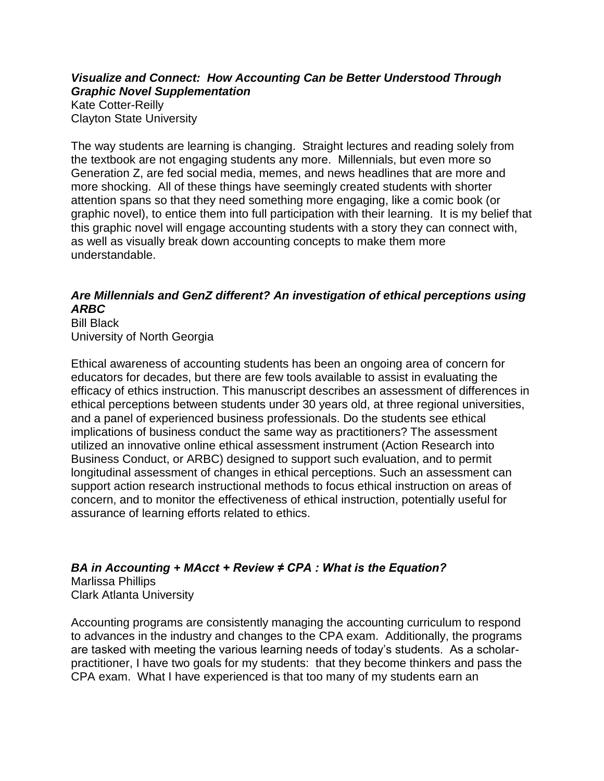### *Visualize and Connect: How Accounting Can be Better Understood Through Graphic Novel Supplementation* Kate Cotter-Reilly Clayton State University

The way students are learning is changing. Straight lectures and reading solely from the textbook are not engaging students any more. Millennials, but even more so Generation Z, are fed social media, memes, and news headlines that are more and more shocking. All of these things have seemingly created students with shorter attention spans so that they need something more engaging, like a comic book (or graphic novel), to entice them into full participation with their learning. It is my belief that this graphic novel will engage accounting students with a story they can connect with, as well as visually break down accounting concepts to make them more understandable.

## *Are Millennials and GenZ different? An investigation of ethical perceptions using ARBC*

Bill Black University of North Georgia

Ethical awareness of accounting students has been an ongoing area of concern for educators for decades, but there are few tools available to assist in evaluating the efficacy of ethics instruction. This manuscript describes an assessment of differences in ethical perceptions between students under 30 years old, at three regional universities, and a panel of experienced business professionals. Do the students see ethical implications of business conduct the same way as practitioners? The assessment utilized an innovative online ethical assessment instrument (Action Research into Business Conduct, or ARBC) designed to support such evaluation, and to permit longitudinal assessment of changes in ethical perceptions. Such an assessment can support action research instructional methods to focus ethical instruction on areas of concern, and to monitor the effectiveness of ethical instruction, potentially useful for assurance of learning efforts related to ethics.

*BA in Accounting + MAcct + Review ≠ CPA : What is the Equation?* Marlissa Phillips Clark Atlanta University

Accounting programs are consistently managing the accounting curriculum to respond to advances in the industry and changes to the CPA exam. Additionally, the programs are tasked with meeting the various learning needs of today's students. As a scholarpractitioner, I have two goals for my students: that they become thinkers and pass the CPA exam. What I have experienced is that too many of my students earn an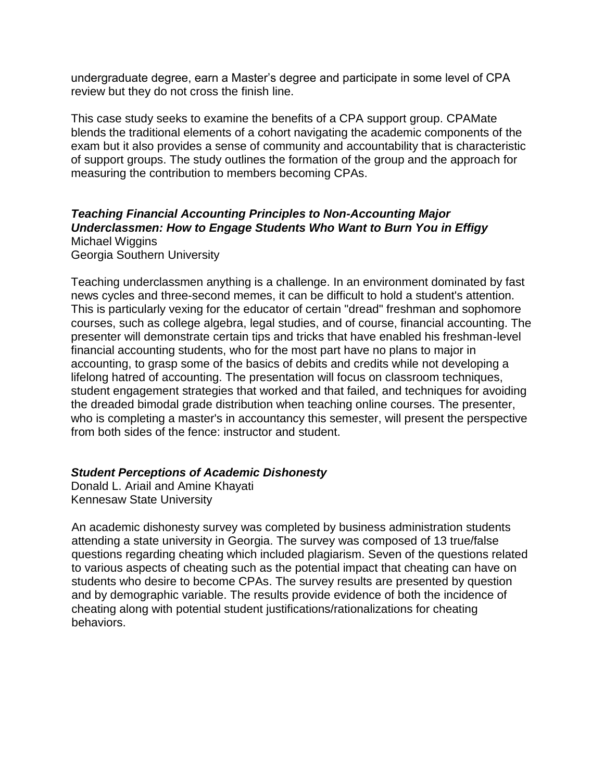undergraduate degree, earn a Master's degree and participate in some level of CPA review but they do not cross the finish line.

This case study seeks to examine the benefits of a CPA support group. CPAMate blends the traditional elements of a cohort navigating the academic components of the exam but it also provides a sense of community and accountability that is characteristic of support groups. The study outlines the formation of the group and the approach for measuring the contribution to members becoming CPAs.

## *Teaching Financial Accounting Principles to Non-Accounting Major Underclassmen: How to Engage Students Who Want to Burn You in Effigy* Michael Wiggins

Georgia Southern University

Teaching underclassmen anything is a challenge. In an environment dominated by fast news cycles and three-second memes, it can be difficult to hold a student's attention. This is particularly vexing for the educator of certain "dread" freshman and sophomore courses, such as college algebra, legal studies, and of course, financial accounting. The presenter will demonstrate certain tips and tricks that have enabled his freshman-level financial accounting students, who for the most part have no plans to major in accounting, to grasp some of the basics of debits and credits while not developing a lifelong hatred of accounting. The presentation will focus on classroom techniques, student engagement strategies that worked and that failed, and techniques for avoiding the dreaded bimodal grade distribution when teaching online courses. The presenter, who is completing a master's in accountancy this semester, will present the perspective from both sides of the fence: instructor and student.

### *Student Perceptions of Academic Dishonesty*

Donald L. Ariail and Amine Khayati Kennesaw State University

An academic dishonesty survey was completed by business administration students attending a state university in Georgia. The survey was composed of 13 true/false questions regarding cheating which included plagiarism. Seven of the questions related to various aspects of cheating such as the potential impact that cheating can have on students who desire to become CPAs. The survey results are presented by question and by demographic variable. The results provide evidence of both the incidence of cheating along with potential student justifications/rationalizations for cheating behaviors.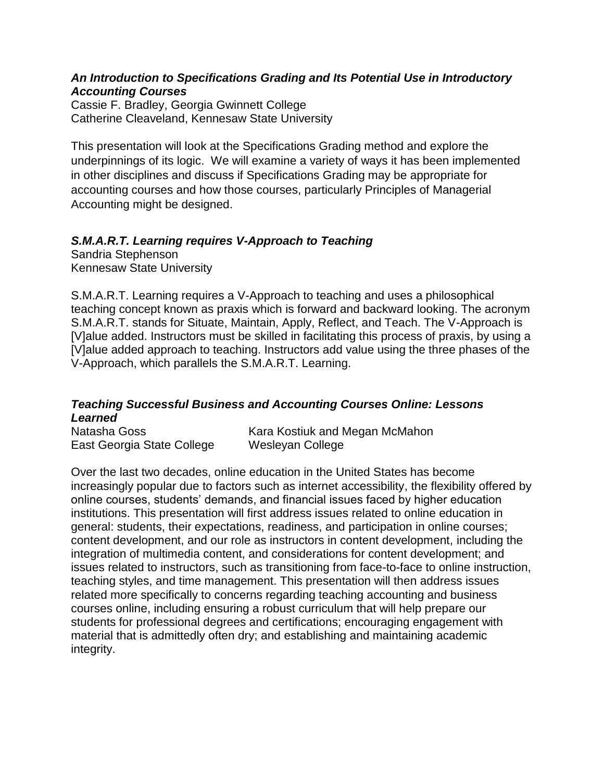### *An Introduction to Specifications Grading and Its Potential Use in Introductory Accounting Courses*

Cassie F. Bradley, Georgia Gwinnett College Catherine Cleaveland, Kennesaw State University

This presentation will look at the Specifications Grading method and explore the underpinnings of its logic. We will examine a variety of ways it has been implemented in other disciplines and discuss if Specifications Grading may be appropriate for accounting courses and how those courses, particularly Principles of Managerial Accounting might be designed.

## *S.M.A.R.T. Learning requires V-Approach to Teaching*

Sandria Stephenson Kennesaw State University

S.M.A.R.T. Learning requires a V-Approach to teaching and uses a philosophical teaching concept known as praxis which is forward and backward looking. The acronym S.M.A.R.T. stands for Situate, Maintain, Apply, Reflect, and Teach. The V-Approach is [V]alue added. Instructors must be skilled in facilitating this process of praxis, by using a [V]alue added approach to teaching. Instructors add value using the three phases of the V-Approach, which parallels the S.M.A.R.T. Learning.

### *Teaching Successful Business and Accounting Courses Online: Lessons Learned*

| Natasha Goss               | Kara Kostiuk and Megan McMahon |
|----------------------------|--------------------------------|
| East Georgia State College | Wesleyan College               |

Over the last two decades, online education in the United States has become increasingly popular due to factors such as internet accessibility, the flexibility offered by online courses, students' demands, and financial issues faced by higher education institutions. This presentation will first address issues related to online education in general: students, their expectations, readiness, and participation in online courses; content development, and our role as instructors in content development, including the integration of multimedia content, and considerations for content development; and issues related to instructors, such as transitioning from face-to-face to online instruction, teaching styles, and time management. This presentation will then address issues related more specifically to concerns regarding teaching accounting and business courses online, including ensuring a robust curriculum that will help prepare our students for professional degrees and certifications; encouraging engagement with material that is admittedly often dry; and establishing and maintaining academic integrity.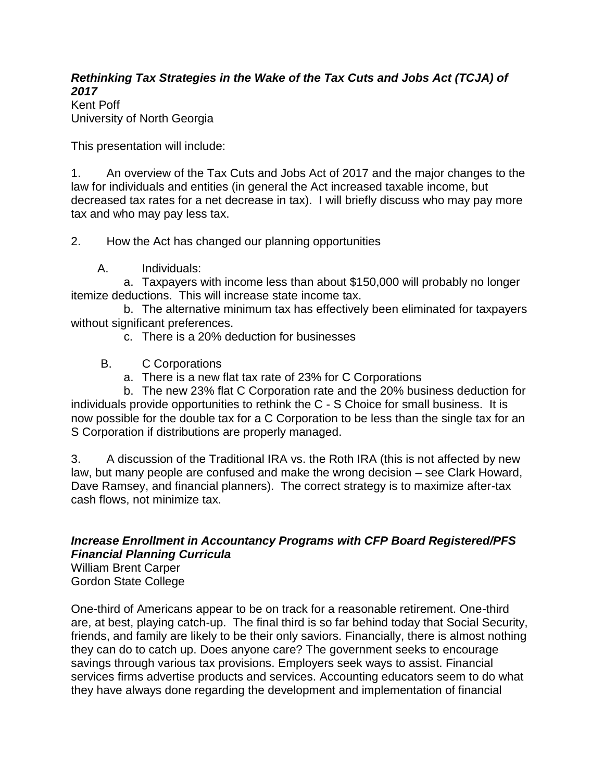## *Rethinking Tax Strategies in the Wake of the Tax Cuts and Jobs Act (TCJA) of 2017*

Kent Poff University of North Georgia

This presentation will include:

1. An overview of the Tax Cuts and Jobs Act of 2017 and the major changes to the law for individuals and entities (in general the Act increased taxable income, but decreased tax rates for a net decrease in tax). I will briefly discuss who may pay more tax and who may pay less tax.

2. How the Act has changed our planning opportunities

A. Individuals:

 a. Taxpayers with income less than about \$150,000 will probably no longer itemize deductions. This will increase state income tax.

 b. The alternative minimum tax has effectively been eliminated for taxpayers without significant preferences.

- c. There is a 20% deduction for businesses
- B. C Corporations
	- a. There is a new flat tax rate of 23% for C Corporations

 b. The new 23% flat C Corporation rate and the 20% business deduction for individuals provide opportunities to rethink the C - S Choice for small business. It is now possible for the double tax for a C Corporation to be less than the single tax for an S Corporation if distributions are properly managed.

3. A discussion of the Traditional IRA vs. the Roth IRA (this is not affected by new law, but many people are confused and make the wrong decision – see Clark Howard, Dave Ramsey, and financial planners). The correct strategy is to maximize after-tax cash flows, not minimize tax.

# *Increase Enrollment in Accountancy Programs with CFP Board Registered/PFS Financial Planning Curricula*

William Brent Carper Gordon State College

One-third of Americans appear to be on track for a reasonable retirement. One-third are, at best, playing catch-up. The final third is so far behind today that Social Security, friends, and family are likely to be their only saviors. Financially, there is almost nothing they can do to catch up. Does anyone care? The government seeks to encourage savings through various tax provisions. Employers seek ways to assist. Financial services firms advertise products and services. Accounting educators seem to do what they have always done regarding the development and implementation of financial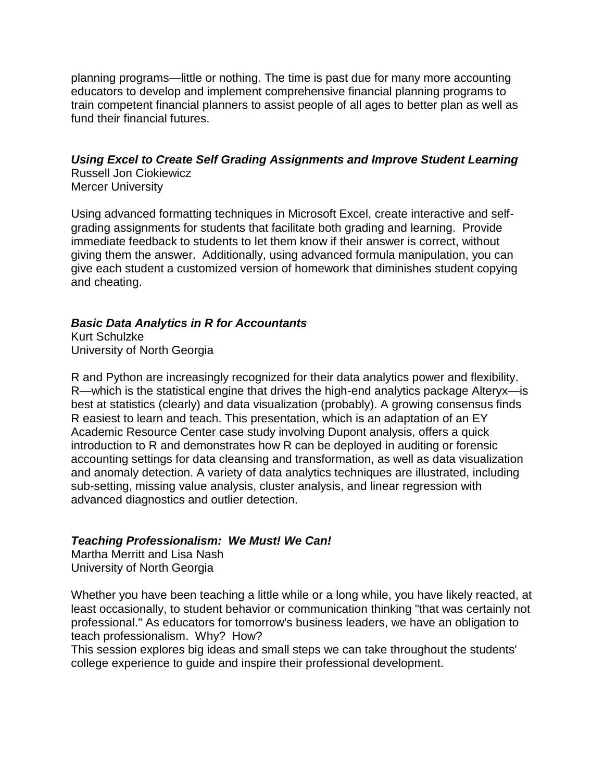planning programs—little or nothing. The time is past due for many more accounting educators to develop and implement comprehensive financial planning programs to train competent financial planners to assist people of all ages to better plan as well as fund their financial futures.

### *Using Excel to Create Self Grading Assignments and Improve Student Learning*

Russell Jon Ciokiewicz Mercer University

Using advanced formatting techniques in Microsoft Excel, create interactive and selfgrading assignments for students that facilitate both grading and learning. Provide immediate feedback to students to let them know if their answer is correct, without giving them the answer. Additionally, using advanced formula manipulation, you can give each student a customized version of homework that diminishes student copying and cheating.

## *Basic Data Analytics in R for Accountants*

Kurt Schulzke University of North Georgia

R and Python are increasingly recognized for their data analytics power and flexibility. R—which is the statistical engine that drives the high-end analytics package Alteryx—is best at statistics (clearly) and data visualization (probably). A growing consensus finds R easiest to learn and teach. This presentation, which is an adaptation of an EY Academic Resource Center case study involving Dupont analysis, offers a quick introduction to R and demonstrates how R can be deployed in auditing or forensic accounting settings for data cleansing and transformation, as well as data visualization and anomaly detection. A variety of data analytics techniques are illustrated, including sub-setting, missing value analysis, cluster analysis, and linear regression with advanced diagnostics and outlier detection.

## *Teaching Professionalism: We Must! We Can!*

Martha Merritt and Lisa Nash University of North Georgia

Whether you have been teaching a little while or a long while, you have likely reacted, at least occasionally, to student behavior or communication thinking "that was certainly not professional." As educators for tomorrow's business leaders, we have an obligation to teach professionalism. Why? How?

This session explores big ideas and small steps we can take throughout the students' college experience to guide and inspire their professional development.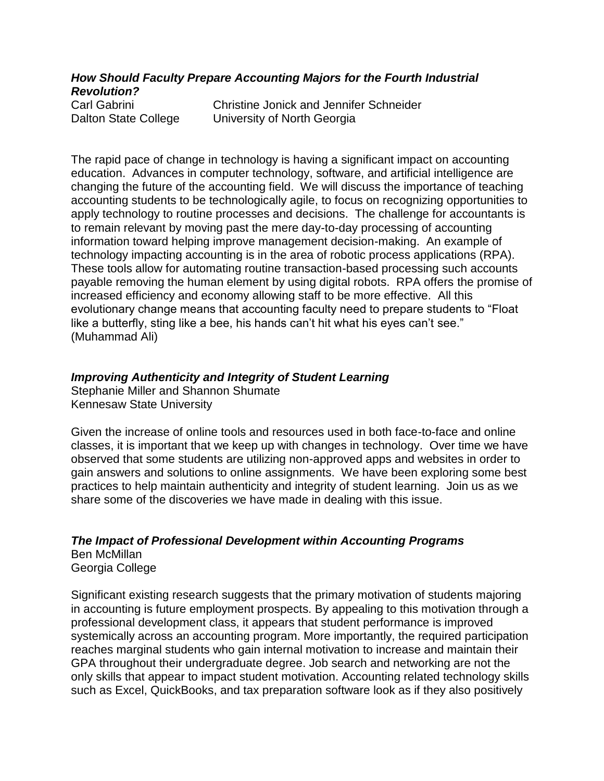*How Should Faculty Prepare Accounting Majors for the Fourth Industrial Revolution?*

Carl Gabrini Christine Jonick and Jennifer Schneider Dalton State College University of North Georgia

The rapid pace of change in technology is having a significant impact on accounting education. Advances in computer technology, software, and artificial intelligence are changing the future of the accounting field. We will discuss the importance of teaching accounting students to be technologically agile, to focus on recognizing opportunities to apply technology to routine processes and decisions. The challenge for accountants is to remain relevant by moving past the mere day-to-day processing of accounting information toward helping improve management decision-making. An example of technology impacting accounting is in the area of robotic process applications (RPA). These tools allow for automating routine transaction-based processing such accounts payable removing the human element by using digital robots. RPA offers the promise of increased efficiency and economy allowing staff to be more effective. All this evolutionary change means that accounting faculty need to prepare students to "Float like a butterfly, sting like a bee, his hands can't hit what his eyes can't see." (Muhammad Ali)

### *Improving Authenticity and Integrity of Student Learning*

Stephanie Miller and Shannon Shumate Kennesaw State University

Given the increase of online tools and resources used in both face-to-face and online classes, it is important that we keep up with changes in technology. Over time we have observed that some students are utilizing non-approved apps and websites in order to gain answers and solutions to online assignments. We have been exploring some best practices to help maintain authenticity and integrity of student learning. Join us as we share some of the discoveries we have made in dealing with this issue.

#### *The Impact of Professional Development within Accounting Programs* Ben McMillan Georgia College

Significant existing research suggests that the primary motivation of students majoring in accounting is future employment prospects. By appealing to this motivation through a professional development class, it appears that student performance is improved systemically across an accounting program. More importantly, the required participation reaches marginal students who gain internal motivation to increase and maintain their GPA throughout their undergraduate degree. Job search and networking are not the only skills that appear to impact student motivation. Accounting related technology skills such as Excel, QuickBooks, and tax preparation software look as if they also positively